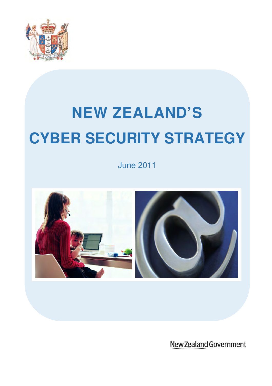

# **NEW ZEALAND'S CYBER SECURITY STRATEGY**

June 2011



New Zealand Government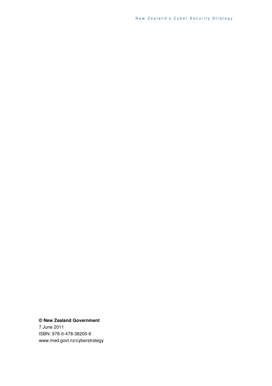New Zealand's Cyber Security Strategy

**© New Zealand Government**  7 June 2011 ISBN: 978-0-478-38200-6 www.med.govt.nz/cyberstrategy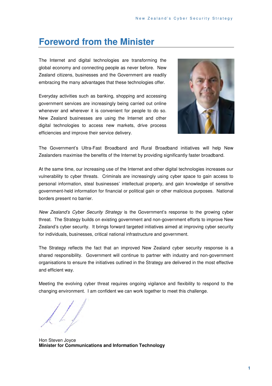# **Foreword from the Minister**

The Internet and digital technologies are transforming the global economy and connecting people as never before. New Zealand citizens, businesses and the Government are readily embracing the many advantages that these technologies offer.

Everyday activities such as banking, shopping and accessing government services are increasingly being carried out online whenever and wherever it is convenient for people to do so. New Zealand businesses are using the Internet and other digital technologies to access new markets, drive process efficiencies and improve their service delivery.



The Government's Ultra-Fast Broadband and Rural Broadband initiatives will help New Zealanders maximise the benefits of the Internet by providing significantly faster broadband.

At the same time, our increasing use of the Internet and other digital technologies increases our vulnerability to cyber threats. Criminals are increasingly using cyber space to gain access to personal information, steal businesses' intellectual property, and gain knowledge of sensitive government-held information for financial or political gain or other malicious purposes. National borders present no barrier.

New Zealand's Cyber Security Strategy is the Government's response to the growing cyber threat. The Strategy builds on existing government and non-government efforts to improve New Zealand's cyber security. It brings forward targeted initiatives aimed at improving cyber security for individuals, businesses, critical national infrastructure and government.

The Strategy reflects the fact that an improved New Zealand cyber security response is a shared responsibility. Government will continue to partner with industry and non-government organisations to ensure the initiatives outlined in the Strategy are delivered in the most effective and efficient way.

Meeting the evolving cyber threat requires ongoing vigilance and flexibility to respond to the changing environment. I am confident we can work together to meet this challenge.

Hon Steven Joyce **Minister for Communications and Information Technology**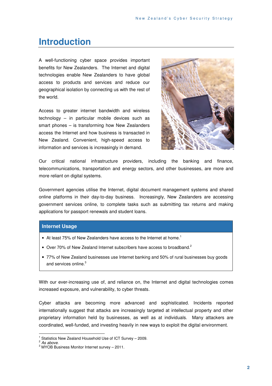# **Introduction**

A well-functioning cyber space provides important benefits for New Zealanders. The Internet and digital technologies enable New Zealanders to have global access to products and services and reduce our geographical isolation by connecting us with the rest of the world.

Access to greater internet bandwidth and wireless technology – in particular mobile devices such as smart phones – is transforming how New Zealanders access the Internet and how business is transacted in New Zealand. Convenient, high-speed access to information and services is increasingly in demand.



Our critical national infrastructure providers, including the banking and finance, telecommunications, transportation and energy sectors, and other businesses, are more and more reliant on digital systems.

Government agencies utilise the Internet, digital document management systems and shared online platforms in their day-to-day business. Increasingly, New Zealanders are accessing government services online, to complete tasks such as submitting tax returns and making applications for passport renewals and student loans.

### **Internet Usage**

- At least 75% of New Zealanders have access to the Internet at home.<sup>1</sup>
- Over 70% of New Zealand Internet subscribers have access to broadband.<sup>2</sup>
- 77% of New Zealand businesses use Internet banking and 50% of rural businesses buy goods and services online.<sup>3</sup>

With our ever-increasing use of, and reliance on, the Internet and digital technologies comes increased exposure, and vulnerability, to cyber threats.

Cyber attacks are becoming more advanced and sophisticated. Incidents reported internationally suggest that attacks are increasingly targeted at intellectual property and other proprietary information held by businesses, as well as at individuals. Many attackers are coordinated, well-funded, and investing heavily in new ways to exploit the digital environment.

 1 Statistics New Zealand Household Use of ICT Survey – 2009.

 $2$  As above.

 $3$  MYOB Business Monitor Internet survey  $-$  2011.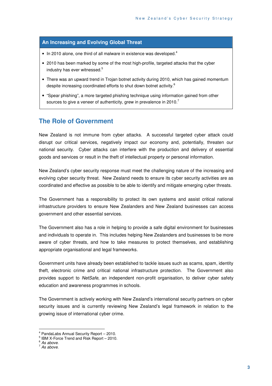### **An Increasing and Evolving Global Threat**

- $\bullet$  In 2010 alone, one third of all malware in existence was developed.<sup>4</sup>
- 2010 has been marked by some of the most high-profile, targeted attacks that the cyber industry has ever witnessed.<sup>5</sup>
- There was an upward trend in Trojan botnet activity during 2010, which has gained momentum despite increasing coordinated efforts to shut down botnet activity.<sup>6</sup>
- "Spear phishing", a more targeted phishing technique using information gained from other sources to give a veneer of authenticity, grew in prevalence in 2010.<sup>7</sup>

### **The Role of Government**

New Zealand is not immune from cyber attacks. A successful targeted cyber attack could disrupt our critical services, negatively impact our economy and, potentially, threaten our national security. Cyber attacks can interfere with the production and delivery of essential goods and services or result in the theft of intellectual property or personal information.

New Zealand's cyber security response must meet the challenging nature of the increasing and evolving cyber security threat. New Zealand needs to ensure its cyber security activities are as coordinated and effective as possible to be able to identify and mitigate emerging cyber threats.

The Government has a responsibility to protect its own systems and assist critical national infrastructure providers to ensure New Zealanders and New Zealand businesses can access government and other essential services.

The Government also has a role in helping to provide a safe digital environment for businesses and individuals to operate in. This includes helping New Zealanders and businesses to be more aware of cyber threats, and how to take measures to protect themselves, and establishing appropriate organisational and legal frameworks.

Government units have already been established to tackle issues such as scams, spam, identity theft, electronic crime and critical national infrastructure protection. The Government also provides support to NetSafe, an independent non-profit organisation, to deliver cyber safety education and awareness programmes in schools.

The Government is actively working with New Zealand's international security partners on cyber security issues and is currently reviewing New Zealand's legal framework in relation to the growing issue of international cyber crime.

 4 PandaLabs Annual Security Report – 2010.

<sup>5</sup> IBM X-Force Trend and Risk Report – 2010.

 $6$  As above.

 $7$  As above.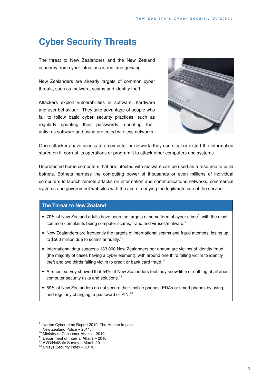# **Cyber Security Threats**

The threat to New Zealanders and the New Zealand economy from cyber intrusions is real and growing.

New Zealanders are already targets of common cyber threats, such as malware, scams and identity theft.

Attackers exploit vulnerabilities in software, hardware and user behaviour. They take advantage of people who fail to follow basic cyber security practices, such as regularly updating their passwords, updating their antivirus software and using protected wireless networks.



Once attackers have access to a computer or network, they can steal or distort the information stored on it, corrupt its operations or program it to attack other computers and systems.

Unprotected home computers that are infected with malware can be used as a resource to build botnets. Botnets harness the computing power of thousands or even millions of individual computers to launch remote attacks on information and communications networks, commercial systems and government websites with the aim of denying the legitimate use of the service.

### **The Threat to New Zealand**

- $\bullet$  70% of New Zealand adults have been the targets of some form of cyber crime<sup>8</sup>, with the most common complaints being computer scams, fraud and viruses/malware.<sup>9</sup>
- New Zealanders are frequently the targets of international scams and fraud attempts, losing up to \$500 million due to scams annually.<sup>10</sup>
- International data suggests 133,000 New Zealanders per annum are victims of identity fraud (the majority of cases having a cyber element), with around one third falling victim to identity theft and two thirds falling victim to credit or bank card fraud.<sup>11</sup>
- A recent survey showed that 54% of New Zealanders feel they know little or nothing at all about computer security risks and solutions.<sup>12</sup>
- 59% of New Zealanders do not secure their mobile phones, PDAs or smart phones by using, and regularly changing, a password or PIN.<sup>13</sup>

 $\overline{a}$ 

<sup>8</sup> Norton Cybercrime Report 2010: The Human Impact.

<sup>&</sup>lt;sup>9</sup> New Zealand Police – 2011.

<sup>10</sup> Ministry of Consumer Affairs – 2010.

<sup>11</sup> Department of Internal Affairs – 2010.

<sup>&</sup>lt;sup>12</sup> AVG/NetSafe Survey - March 2011.

<sup>13</sup> Unisys Security Index – 2010.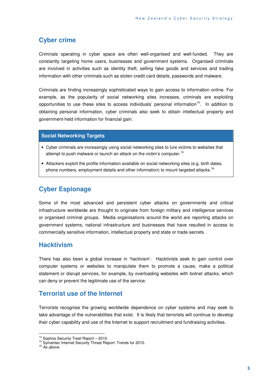### **Cyber crime**

Criminals operating in cyber space are often well-organised and well-funded. They are constantly targeting home users, businesses and government systems. Organised criminals are involved in activities such as identity theft, selling fake goods and services and trading information with other criminals such as stolen credit card details, passwords and malware.

Criminals are finding increasingly sophisticated ways to gain access to information online. For example, as the popularity of social networking sites increases, criminals are exploiting opportunities to use these sites to access individuals' personal information<sup>14</sup>. In addition to obtaining personal information, cyber criminals also seek to obtain intellectual property and government-held information for financial gain.

### **Social Networking Targets**

- Cyber criminals are increasingly using social networking sites to lure victims to websites that attempt to push malware or launch an attack on the victim's computer.<sup>15</sup>
- Attackers exploit the profile information available on social networking sites (e.g. birth dates, phone numbers, employment details and other information) to mount targeted attacks.<sup>16</sup>

### **Cyber Espionage**

Some of the most advanced and persistent cyber attacks on governments and critical infrastructure worldwide are thought to originate from foreign military and intelligence services or organised criminal groups. Media organisations around the world are reporting attacks on government systems, national infrastructure and businesses that have resulted in access to commercially sensitive information, intellectual property and state or trade secrets.

### **Hacktivism**

There has also been a global increase in 'hactivism'. Hacktivists seek to gain control over computer systems or websites to manipulate them to promote a cause, make a political statement or disrupt services, for example, by overloading websites with botnet attacks, which can deny or prevent the legitimate use of the service.

### **Terrorist use of the Internet**

Terrorists recognise the growing worldwide dependence on cyber systems and may seek to take advantage of the vulnerabilities that exist. It is likely that terrorists will continue to develop their cyber capability and use of the Internet to support recruitment and fundraising activities.

 $\overline{a}$ <sup>14</sup> Sophos Security Treat Report - 2010.

<sup>&</sup>lt;sup>15</sup> Symantec Internet Security Threat Report: Trends for 2010.

 $16$  As above.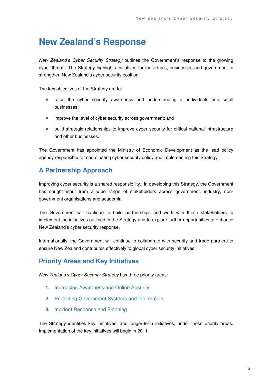# **New Zealand's Response**

New Zealand's Cyber Security Strategy outlines the Government's response to the growing cyber threat. The Strategy highlights initiatives for individuals, businesses and government to strengthen New Zealand's cyber security position.

The key objectives of the Strategy are to:

- **E** raise the cyber security awareness and understanding of individuals and small businesses;
- **EXECUTE:** improve the level of cyber security across government; and
- **•** build strategic relationships to improve cyber security for critical national infrastructure and other businesses.

The Government has appointed the Ministry of Economic Development as the lead policy agency responsible for coordinating cyber security policy and implementing this Strategy.

### **A Partnership Approach**

Improving cyber security is a shared responsibility. In developing this Strategy, the Government has sought input from a wide range of stakeholders across government, industry, nongovernment organisations and academia.

The Government will continue to build partnerships and work with these stakeholders to implement the initiatives outlined in the Strategy and to explore further opportunities to enhance New Zealand's cyber security response.

Internationally, the Government will continue to collaborate with security and trade partners to ensure New Zealand contributes effectively to global cyber security initiatives.

### **Priority Areas and Key Initiatives**

New Zealand's Cyber Security Strategy has three priority areas:

- **1.** Increasing Awareness and Online Security
- **2.** Protecting Government Systems and Information
- **3.** Incident Response and Planning

The Strategy identifies key initiatives, and longer-term initiatives, under these priority areas. Implementation of the key initiatives will begin in 2011.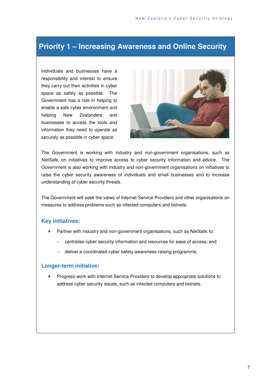## **Priority 1 – Increasing Awareness and Online Security**

Individuals and businesses have a responsibility and interest to ensure they carry out their activities in cyber space as safely as possible. The Government has a role in helping to enable a safe cyber environment and helping New Zealanders and businesses to access the tools and information they need to operate as securely as possible in cyber space.



The Government is working with industry and non-government organisations, such as NetSafe, on initiatives to improve access to cyber security information and advice. The Government is also working with industry and non-government organisations on initiatives to raise the cyber security awareness of individuals and small businesses and to increase understanding of cyber security threats.

The Government will seek the views of Internet Service Providers and other organisations on measures to address problems such as infected computers and botnets.

### **Key initiatives:**

- Partner with industry and non-government organisations, such as NetSafe, to:
	- centralise cyber security information and resources for ease of access; and
	- deliver a coordinated cyber safety awareness-raising programme.

### **Longer-term initiative:**

**Progress work with Internet Service Providers to develop appropriate solutions to** address cyber security issues, such as infected computers and botnets.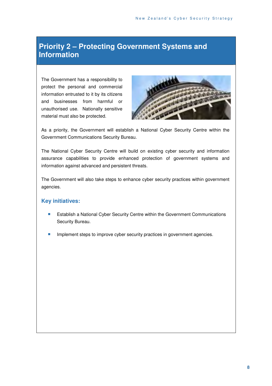# **Priority 2 – Protecting Government Systems and Information**

The Government has a responsibility to protect the personal and commercial information entrusted to it by its citizens and businesses from harmful or unauthorised use. Nationally sensitive material must also be protected.



As a priority, the Government will establish a National Cyber Security Centre within the Government Communications Security Bureau.

The National Cyber Security Centre will build on existing cyber security and information assurance capabilities to provide enhanced protection of government systems and information against advanced and persistent threats.

The Government will also take steps to enhance cyber security practices within government agencies.

### **Key initiatives:**

- **Establish a National Cyber Security Centre within the Government Communications** Security Bureau.
- Implement steps to improve cyber security practices in government agencies.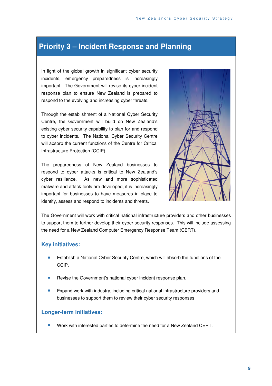# **Priority 3 – Incident Response and Planning**

In light of the global growth in significant cyber security incidents, emergency preparedness is increasingly important. The Government will revise its cyber incident response plan to ensure New Zealand is prepared to respond to the evolving and increasing cyber threats.

Through the establishment of a National Cyber Security Centre, the Government will build on New Zealand's existing cyber security capability to plan for and respond to cyber incidents. The National Cyber Security Centre will absorb the current functions of the Centre for Critical Infrastructure Protection (CCIP).

The preparedness of New Zealand businesses to respond to cyber attacks is critical to New Zealand's cyber resilience. As new and more sophisticated malware and attack tools are developed, it is increasingly important for businesses to have measures in place to identify, assess and respond to incidents and threats.



The Government will work with critical national infrastructure providers and other businesses to support them to further develop their cyber security responses. This will include assessing the need for a New Zealand Computer Emergency Response Team (CERT).

### **Key initiatives:**

- **Establish a National Cyber Security Centre, which will absorb the functions of the** CCIP.
- Revise the Government's national cyber incident response plan.
- **Expand work with industry, including critical national infrastructure providers and** businesses to support them to review their cyber security responses.

### **Longer-term initiatives:**

Work with interested parties to determine the need for a New Zealand CERT.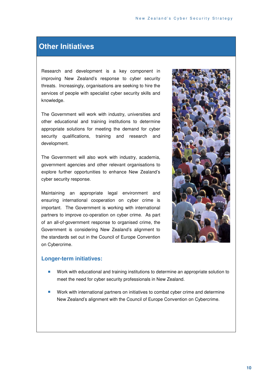### **Other Initiatives**

Research and development is a key component in improving New Zealand's response to cyber security threats. Increasingly, organisations are seeking to hire the services of people with specialist cyber security skills and knowledge.

The Government will work with industry, universities and other educational and training institutions to determine appropriate solutions for meeting the demand for cyber security qualifications, training and research and development.

The Government will also work with industry, academia, government agencies and other relevant organisations to explore further opportunities to enhance New Zealand's cyber security response.

Maintaining an appropriate legal environment and ensuring international cooperation on cyber crime is important. The Government is working with international partners to improve co-operation on cyber crime. As part of an all-of-government response to organised crime, the Government is considering New Zealand's alignment to the standards set out in the Council of Europe Convention on Cybercrime.



### **Longer-term initiatives:**

- **Work with educational and training institutions to determine an appropriate solution to** meet the need for cyber security professionals in New Zealand.
- **Work with international partners on initiatives to combat cyber crime and determine** New Zealand's alignment with the Council of Europe Convention on Cybercrime.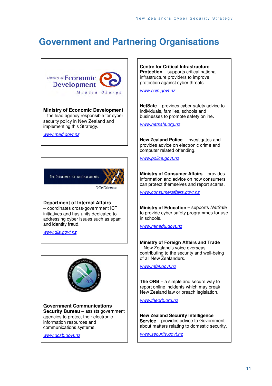# **Government and Partnering Organisations**



THE DEPARTMENT OF INTERNAL AFFAIRS

Te Tari Taiwhenua

### **Department of Internal Affairs**

– coordinates cross-government ICT initiatives and has units dedicated to addressing cyber issues such as spam and identity fraud.

www.dia.govt.nz



**Government Communications Security Bureau** – assists government agencies to protect their electronic information resources and communications systems.

www.gcsb.govt.nz

**Centre for Critical Infrastructure Protection** – supports critical national infrastructure providers to improve protection against cyber threats.

www.ccip.govt.nz

**NetSafe** – provides cyber safety advice to individuals, families, schools and businesses to promote safety online.

www.netsafe.org.nz

**New Zealand Police** – investigates and provides advice on electronic crime and computer related offending.

www.police.govt.nz

**Ministry of Consumer Affairs** – provides information and advice on how consumers can protect themselves and report scams.

www.consumeraffairs.govt.nz

**Ministry of Education** – supports NetSafe to provide cyber safety programmes for use in schools.

www.minedu.govt.nz

#### **Ministry of Foreign Affairs and Trade**

– New Zealand's voice overseas contributing to the security and well-being of all New Zealanders.

www.mfat.govt.nz

**The ORB** – a simple and secure way to report online incidents which may break New Zealand law or breach legislation.

www.theorb.org.nz

**New Zealand Security Intelligence Service** – provides advice to Government about matters relating to domestic security.

www.security.govt.nz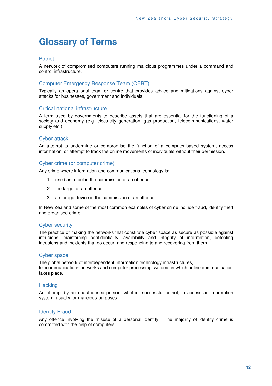# **Glossary of Terms**

#### **Botnet**

A network of compromised computers running malicious programmes under a command and control infrastructure.

### Computer Emergency Response Team (CERT)

Typically an operational team or centre that provides advice and mitigations against cyber attacks for businesses, government and individuals.

### Critical national infrastructure

A term used by governments to describe assets that are essential for the functioning of a society and economy (e.g. electricity generation, gas production, telecommunications, water supply etc.).

### Cyber attack

An attempt to undermine or compromise the function of a computer-based system, access information, or attempt to track the online movements of individuals without their permission.

#### Cyber crime (or computer crime)

Any crime where information and communications technology is:

- 1. used as a tool in the commission of an offence
- 2. the target of an offence
- 3. a storage device in the commission of an offence.

In New Zealand some of the most common examples of cyber crime include fraud, identity theft and organised crime.

### Cyber security

The practice of making the networks that constitute cyber space as secure as possible against intrusions, maintaining confidentiality, availability and integrity of information, detecting intrusions and incidents that do occur, and responding to and recovering from them.

### Cyber space

The global network of interdependent information technology infrastructures, telecommunications networks and computer processing systems in which online communication takes place.

#### **Hacking**

An attempt by an unauthorised person, whether successful or not, to access an information system, usually for malicious purposes.

### Identity Fraud

Any offence involving the misuse of a personal identity. The majority of identity crime is committed with the help of computers.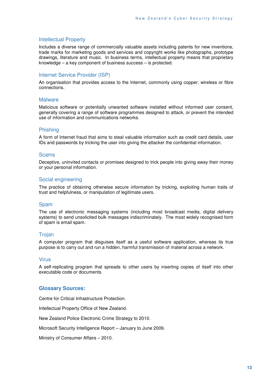### Intellectual Property

Includes a diverse range of commercially valuable assets including patents for new inventions, trade marks for marketing goods and services and copyright works like photographs, prototype drawings, literature and music. In business terms, intellectual property means that proprietary knowledge – a key component of business success – is protected.

### Internet Service Provider (ISP)

An organisation that provides access to the Internet, commonly using copper, wireless or fibre connections.

#### **Malware**

Malicious software or potentially unwanted software installed without informed user consent, generally covering a range of software programmes designed to attack, or prevent the intended use of information and communications networks.

### Phishing

A form of Internet fraud that aims to steal valuable information such as credit card details, user IDs and passwords by tricking the user into giving the attacker the confidential information.

#### **Scams**

Deceptive, uninvited contacts or promises designed to trick people into giving away their money or your personal information.

### Social engineering

The practice of obtaining otherwise secure information by tricking, exploiting human traits of trust and helpfulness, or manipulation of legitimate users.

### Spam

The use of electronic messaging systems (including most broadcast media, digital delivery systems) to send unsolicited bulk messages indiscriminately. The most widely recognised form of spam is email spam.

### **Trojan**

A computer program that disguises itself as a useful software application, whereas its true purpose is to carry out and run a hidden, harmful transmission of material across a network.

### Virus

A self-replicating program that spreads to other users by inserting copies of itself into other executable code or documents.

### **Glossary Sources:**

Centre for Critical Infrastructure Protection.

Intellectual Property Office of New Zealand.

New Zealand Police Electronic Crime Strategy to 2010.

Microsoft Security Intelligence Report – January to June 2009.

Ministry of Consumer Affairs – 2010.